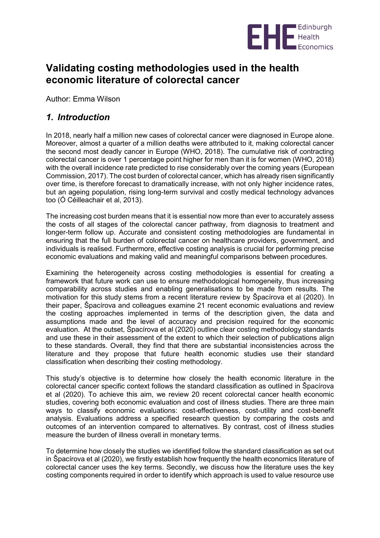

## **Validating costing methodologies used in the health economic literature of colorectal cancer**

Author: Emma Wilson

## *1. Introduction*

In 2018, nearly half a million new cases of colorectal cancer were diagnosed in Europe alone. Moreover, almost a quarter of a million deaths were attributed to it, making colorectal cancer the second most deadly cancer in Europe (WHO, 2018). The cumulative risk of contracting colorectal cancer is over 1 percentage point higher for men than it is for women (WHO, 2018) with the overall incidence rate predicted to rise considerably over the coming years (European Commission, 2017). The cost burden of colorectal cancer, which has already risen significantly over time, is therefore forecast to dramatically increase, with not only higher incidence rates, but an ageing population, rising long-term survival and costly medical technology advances too (Ó Céilleachair et al, 2013).

The increasing cost burden means that it is essential now more than ever to accurately assess the costs of all stages of the colorectal cancer pathway, from diagnosis to treatment and longer-term follow up. Accurate and consistent costing methodologies are fundamental in ensuring that the full burden of colorectal cancer on healthcare providers, government, and individuals is realised. Furthermore, effective costing analysis is crucial for performing precise economic evaluations and making valid and meaningful comparisons between procedures.

Examining the heterogeneity across costing methodologies is essential for creating a framework that future work can use to ensure methodological homogeneity, thus increasing comparability across studies and enabling generalisations to be made from results. The motivation for this study stems from a recent literature review by Špacírova et al (2020). In their paper, Špacírova and colleagues examine 21 recent economic evaluations and review the costing approaches implemented in terms of the description given, the data and assumptions made and the level of accuracy and precision required for the economic evaluation. At the outset, Špacírova et al (2020) outline clear costing methodology standards and use these in their assessment of the extent to which their selection of publications align to these standards. Overall, they find that there are substantial inconsistencies across the literature and they propose that future health economic studies use their standard classification when describing their costing methodology.

This study's objective is to determine how closely the health economic literature in the colorectal cancer specific context follows the standard classification as outlined in Špacírova et al (2020). To achieve this aim, we review 20 recent colorectal cancer health economic studies, covering both economic evaluation and cost of illness studies. There are three main ways to classify economic evaluations: cost-effectiveness, cost-utility and cost-benefit analysis. Evaluations address a specified research question by comparing the costs and outcomes of an intervention compared to alternatives. By contrast, cost of illness studies measure the burden of illness overall in monetary terms.

To determine how closely the studies we identified follow the standard classification as set out in Špacírova et al (2020), we firstly establish how frequently the health economics literature of colorectal cancer uses the key terms. Secondly, we discuss how the literature uses the key costing components required in order to identify which approach is used to value resource use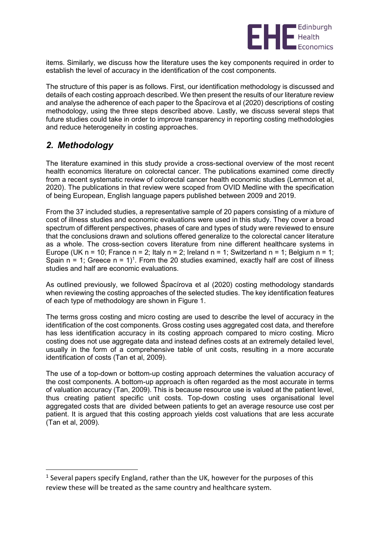

items. Similarly, we discuss how the literature uses the key components required in order to establish the level of accuracy in the identification of the cost components.

The structure of this paper is as follows. First, our identification methodology is discussed and details of each costing approach described. We then present the results of our literature review and analyse the adherence of each paper to the Špacírova et al (2020) descriptions of costing methodology, using the three steps described above. Lastly, we discuss several steps that future studies could take in order to improve transparency in reporting costing methodologies and reduce heterogeneity in costing approaches.

## *2. Methodology*

1

The literature examined in this study provide a cross-sectional overview of the most recent health economics literature on colorectal cancer. The publications examined come directly from a recent systematic review of colorectal cancer health economic studies (Lemmon et al, 2020). The publications in that review were scoped from OVID Medline with the specification of being European, English language papers published between 2009 and 2019.

From the 37 included studies, a representative sample of 20 papers consisting of a mixture of cost of illness studies and economic evaluations were used in this study. They cover a broad spectrum of different perspectives, phases of care and types of study were reviewed to ensure that the conclusions drawn and solutions offered generalize to the colorectal cancer literature as a whole. The cross-section covers literature from nine different healthcare systems in Europe (UK n = 10; France n = 2; Italy n = 2; Ireland n = 1; Switzerland n = 1; Belgium n = 1; Spain  $n = 1$ ; Greece  $n = 1$ <sup>1</sup>. From the 20 studies examined, exactly half are cost of illness studies and half are economic evaluations.

As outlined previously, we followed Špacírova et al (2020) costing methodology standards when reviewing the costing approaches of the selected studies. The key identification features of each type of methodology are shown in Figure 1.

The terms gross costing and micro costing are used to describe the level of accuracy in the identification of the cost components. Gross costing uses aggregated cost data, and therefore has less identification accuracy in its costing approach compared to micro costing. Micro costing does not use aggregate data and instead defines costs at an extremely detailed level, usually in the form of a comprehensive table of unit costs, resulting in a more accurate identification of costs (Tan et al, 2009).

The use of a top-down or bottom-up costing approach determines the valuation accuracy of the cost components. A bottom-up approach is often regarded as the most accurate in terms of valuation accuracy (Tan, 2009). This is because resource use is valued at the patient level, thus creating patient specific unit costs. Top-down costing uses organisational level aggregated costs that are divided between patients to get an average resource use cost per patient. It is argued that this costing approach yields cost valuations that are less accurate (Tan et al, 2009).

 $1$  Several papers specify England, rather than the UK, however for the purposes of this review these will be treated as the same country and healthcare system.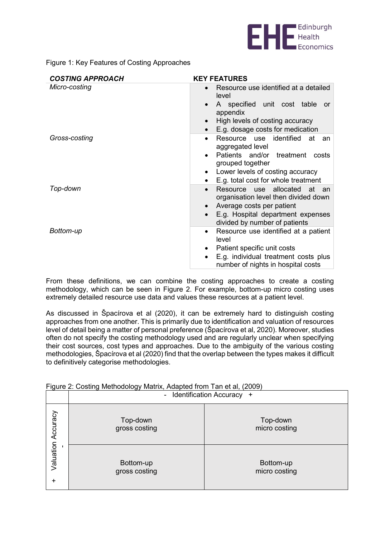

Figure 1: Key Features of Costing Approaches

| <b>COSTING APPROACH</b> | <b>KEY FEATURES</b>                                                                           |
|-------------------------|-----------------------------------------------------------------------------------------------|
| Micro-costing           | Resource use identified at a detailed<br>$\bullet$<br>level                                   |
|                         | A specified unit cost table or<br>appendix                                                    |
|                         | High levels of costing accuracy<br>$\bullet$                                                  |
|                         | E.g. dosage costs for medication<br>$\bullet$                                                 |
| Gross-costing           | identified<br>Resource use<br>at<br>an<br>$\bullet$<br>aggregated level                       |
|                         | Patients and/or treatment<br>costs<br>grouped together                                        |
|                         | Lower levels of costing accuracy<br>$\bullet$                                                 |
|                         | E.g. total cost for whole treatment                                                           |
| Top-down                | Resource use<br>allocated<br>at<br>an an<br>$\bullet$<br>organisation level then divided down |
|                         | Average costs per patient<br>$\bullet$                                                        |
|                         | E.g. Hospital department expenses<br>$\bullet$<br>divided by number of patients               |
| Bottom-up               | Resource use identified at a patient<br>$\bullet$<br>level                                    |
|                         | Patient specific unit costs<br>٠                                                              |
|                         | E.g. individual treatment costs plus<br>$\bullet$<br>number of nights in hospital costs       |

From these definitions, we can combine the costing approaches to create a costing methodology, which can be seen in Figure 2. For example, bottom-up micro costing uses extremely detailed resource use data and values these resources at a patient level.

As discussed in Špacírova et al (2020), it can be extremely hard to distinguish costing approaches from one another. This is primarily due to identification and valuation of resources level of detail being a matter of personal preference (Špacírova et al, 2020). Moreover, studies often do not specify the costing methodology used and are regularly unclear when specifying their cost sources, cost types and approaches. Due to the ambiguity of the various costing methodologies, Špacírova et al (2020) find that the overlap between the types makes it difficult to definitively categorise methodologies.

|                    | - Identification Accuracy + |                            |  |  |  |
|--------------------|-----------------------------|----------------------------|--|--|--|
| Valuation Accuracy | Top-down<br>gross costing   | Top-down<br>micro costing  |  |  |  |
| +                  | Bottom-up<br>gross costing  | Bottom-up<br>micro costing |  |  |  |

Figure 2: Costing Methodology Matrix, Adapted from Tan et al, (2009)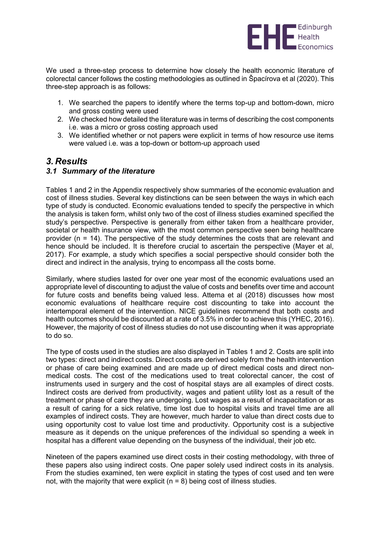

We used a three-step process to determine how closely the health economic literature of colorectal cancer follows the costing methodologies as outlined in Špacírova et al (2020). This three-step approach is as follows:

- 1. We searched the papers to identify where the terms top-up and bottom-down, micro and gross costing were used
- 2. We checked how detailed the literature was in terms of describing the cost components i.e. was a micro or gross costing approach used
- 3. We identified whether or not papers were explicit in terms of how resource use items were valued i.e. was a top-down or bottom-up approach used

### *3. Results*

#### *3.1 Summary of the literature*

Tables 1 and 2 in the Appendix respectively show summaries of the economic evaluation and cost of illness studies. Several key distinctions can be seen between the ways in which each type of study is conducted. Economic evaluations tended to specify the perspective in which the analysis is taken form, whilst only two of the cost of illness studies examined specified the study's perspective. Perspective is generally from either taken from a healthcare provider, societal or health insurance view, with the most common perspective seen being healthcare provider (n = 14). The perspective of the study determines the costs that are relevant and hence should be included. It is therefore crucial to ascertain the perspective (Mayer et al, 2017). For example, a study which specifies a social perspective should consider both the direct and indirect in the analysis, trying to encompass all the costs borne.

Similarly, where studies lasted for over one year most of the economic evaluations used an appropriate level of discounting to adjust the value of costs and benefits over time and account for future costs and benefits being valued less. Attema et al (2018) discusses how most economic evaluations of healthcare require cost discounting to take into account the intertemporal element of the intervention. NICE guidelines recommend that both costs and health outcomes should be discounted at a rate of 3.5% in order to achieve this (YHEC, 2016). However, the majority of cost of illness studies do not use discounting when it was appropriate to do so.

The type of costs used in the studies are also displayed in Tables 1 and 2. Costs are split into two types: direct and indirect costs. Direct costs are derived solely from the health intervention or phase of care being examined and are made up of direct medical costs and direct nonmedical costs. The cost of the medications used to treat colorectal cancer, the cost of instruments used in surgery and the cost of hospital stays are all examples of direct costs. Indirect costs are derived from productivity, wages and patient utility lost as a result of the treatment or phase of care they are undergoing. Lost wages as a result of incapacitation or as a result of caring for a sick relative, time lost due to hospital visits and travel time are all examples of indirect costs. They are however, much harder to value than direct costs due to using opportunity cost to value lost time and productivity. Opportunity cost is a subjective measure as it depends on the unique preferences of the individual so spending a week in hospital has a different value depending on the busyness of the individual, their job etc.

Nineteen of the papers examined use direct costs in their costing methodology, with three of these papers also using indirect costs. One paper solely used indirect costs in its analysis. From the studies examined, ten were explicit in stating the types of cost used and ten were not, with the majority that were explicit ( $n = 8$ ) being cost of illness studies.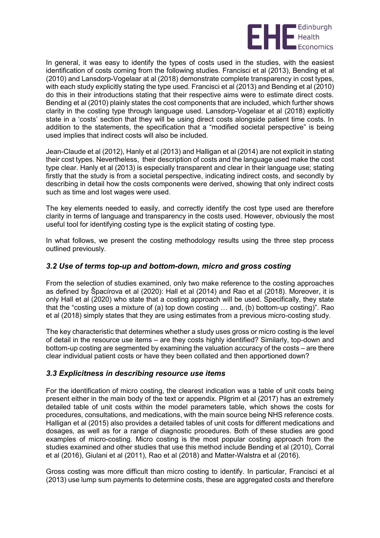

In general, it was easy to identify the types of costs used in the studies, with the easiest identification of costs coming from the following studies. Francisci et al (2013), Bending et al (2010) and Lansdorp-Vogelaar at al (2018) demonstrate complete transparency in cost types, with each study explicitly stating the type used. Francisci et al (2013) and Bending et al (2010) do this in their introductions stating that their respective aims were to estimate direct costs. Bending et al (2010) plainly states the cost components that are included, which further shows clarity in the costing type through language used. Lansdorp-Vogelaar et al (2018) explicitly state in a 'costs' section that they will be using direct costs alongside patient time costs. In addition to the statements, the specification that a "modified societal perspective" is being used implies that indirect costs will also be included.

Jean-Claude et al (2012), Hanly et al (2013) and Halligan et al (2014) are not explicit in stating their cost types. Nevertheless, their description of costs and the language used make the cost type clear. Hanly et al (2013) is especially transparent and clear in their language use; stating firstly that the study is from a societal perspective, indicating indirect costs, and secondly by describing in detail how the costs components were derived, showing that only indirect costs such as time and lost wages were used.

The key elements needed to easily, and correctly identify the cost type used are therefore clarity in terms of language and transparency in the costs used. However, obviously the most useful tool for identifying costing type is the explicit stating of costing type.

In what follows, we present the costing methodology results using the three step process outlined previously.

#### *3.2 Use of terms top-up and bottom-down, micro and gross costing*

From the selection of studies examined, only two make reference to the costing approaches as defined by Špacírova et al (2020): Hall et al (2014) and Rao et al (2018). Moreover, it is only Hall et al (2020) who state that a costing approach will be used. Specifically, they state that the "costing uses a mixture of (a) top down costing … and, (b) bottom-up costing)". Rao et al (2018) simply states that they are using estimates from a previous micro-costing study.

The key characteristic that determines whether a study uses gross or micro costing is the level of detail in the resource use items – are they costs highly identified? Similarly, top-down and bottom-up costing are segmented by examining the valuation accuracy of the costs – are there clear individual patient costs or have they been collated and then apportioned down?

#### *3.3 Explicitness in describing resource use items*

For the identification of micro costing, the clearest indication was a table of unit costs being present either in the main body of the text or appendix. Pilgrim et al (2017) has an extremely detailed table of unit costs within the model parameters table, which shows the costs for procedures, consultations, and medications, with the main source being NHS reference costs. Halligan et al (2015) also provides a detailed tables of unit costs for different medications and dosages, as well as for a range of diagnostic procedures. Both of these studies are good examples of micro-costing. Micro costing is the most popular costing approach from the studies examined and other studies that use this method include Bending et al (2010), Corral et al (2016), Giulani et al (2011), Rao et al (2018) and Matter-Walstra et al (2016).

Gross costing was more difficult than micro costing to identify. In particular, Francisci et al (2013) use lump sum payments to determine costs, these are aggregated costs and therefore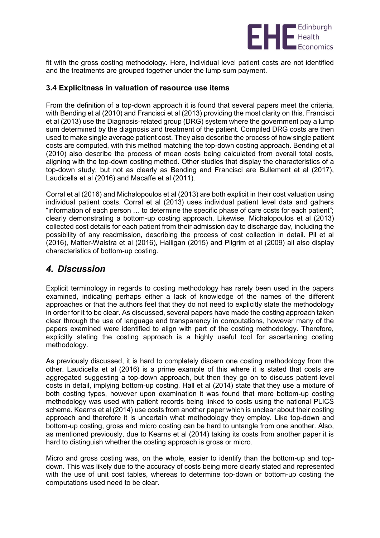

fit with the gross costing methodology. Here, individual level patient costs are not identified and the treatments are grouped together under the lump sum payment.

#### **3.4 Explicitness in valuation of resource use items**

From the definition of a top-down approach it is found that several papers meet the criteria, with Bending et al (2010) and Francisci et al (2013) providing the most clarity on this. Francisci et al (2013) use the Diagnosis-related group (DRG) system where the government pay a lump sum determined by the diagnosis and treatment of the patient. Compiled DRG costs are then used to make single average patient cost. They also describe the process of how single patient costs are computed, with this method matching the top-down costing approach. Bending et al (2010) also describe the process of mean costs being calculated from overall total costs, aligning with the top-down costing method. Other studies that display the characteristics of a top-down study, but not as clearly as Bending and Francisci are Bullement et al (2017), Laudicella et al (2016) and Macaffe et al (2011).

Corral et al (2016) and Michalopoulos et al (2013) are both explicit in their cost valuation using individual patient costs. Corral et al (2013) uses individual patient level data and gathers "information of each person … to determine the specific phase of care costs for each patient"; clearly demonstrating a bottom-up costing approach. Likewise, Michalopoulos et al (2013) collected cost details for each patient from their admission day to discharge day, including the possibility of any readmission, describing the process of cost collection in detail. Pil et al (2016), Matter-Walstra et al (2016), Halligan (2015) and Pilgrim et al (2009) all also display characteristics of bottom-up costing.

## *4. Discussion*

Explicit terminology in regards to costing methodology has rarely been used in the papers examined, indicating perhaps either a lack of knowledge of the names of the different approaches or that the authors feel that they do not need to explicitly state the methodology in order for it to be clear. As discussed, several papers have made the costing approach taken clear through the use of language and transparency in computations, however many of the papers examined were identified to align with part of the costing methodology. Therefore, explicitly stating the costing approach is a highly useful tool for ascertaining costing methodology.

As previously discussed, it is hard to completely discern one costing methodology from the other. Laudicella et al (2016) is a prime example of this where it is stated that costs are aggregated suggesting a top-down approach, but then they go on to discuss patient-level costs in detail, implying bottom-up costing. Hall et al (2014) state that they use a mixture of both costing types, however upon examination it was found that more bottom-up costing methodology was used with patient records being linked to costs using the national PLICS scheme. Kearns et al (2014) use costs from another paper which is unclear about their costing approach and therefore it is uncertain what methodology they employ. Like top-down and bottom-up costing, gross and micro costing can be hard to untangle from one another. Also, as mentioned previously, due to Kearns et al (2014) taking its costs from another paper it is hard to distinguish whether the costing approach is gross or micro.

Micro and gross costing was, on the whole, easier to identify than the bottom-up and topdown. This was likely due to the accuracy of costs being more clearly stated and represented with the use of unit cost tables, whereas to determine top-down or bottom-up costing the computations used need to be clear.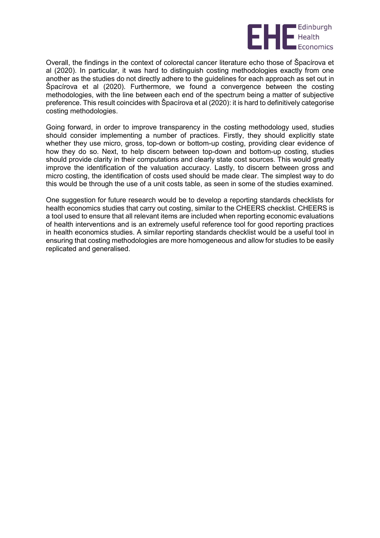

Overall, the findings in the context of colorectal cancer literature echo those of Špacírova et al (2020). In particular, it was hard to distinguish costing methodologies exactly from one another as the studies do not directly adhere to the guidelines for each approach as set out in Špacírova et al (2020). Furthermore, we found a convergence between the costing methodologies, with the line between each end of the spectrum being a matter of subjective preference. This result coincides with Špacírova et al (2020): it is hard to definitively categorise costing methodologies.

Going forward, in order to improve transparency in the costing methodology used, studies should consider implementing a number of practices. Firstly, they should explicitly state whether they use micro, gross, top-down or bottom-up costing, providing clear evidence of how they do so. Next, to help discern between top-down and bottom-up costing, studies should provide clarity in their computations and clearly state cost sources. This would greatly improve the identification of the valuation accuracy. Lastly, to discern between gross and micro costing, the identification of costs used should be made clear. The simplest way to do this would be through the use of a unit costs table, as seen in some of the studies examined.

One suggestion for future research would be to develop a reporting standards checklists for health economics studies that carry out costing, similar to the CHEERS checklist. CHEERS is a tool used to ensure that all relevant items are included when reporting economic evaluations of health interventions and is an extremely useful reference tool for good reporting practices in health economics studies. A similar reporting standards checklist would be a useful tool in ensuring that costing methodologies are more homogeneous and allow for studies to be easily replicated and generalised.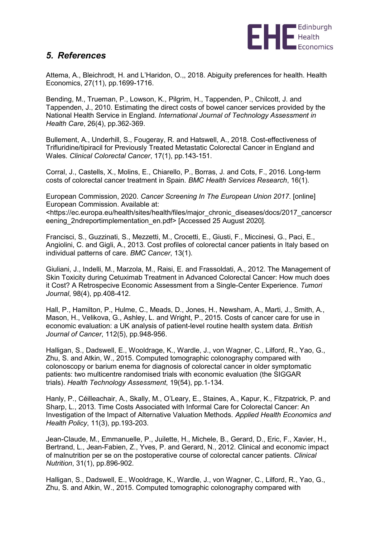

### *5. References*

Attema, A., Bleichrodt, H. and L'Haridon, O.,, 2018. Abiguity preferences for health. Health Economics, 27(11), pp.1699-1716.

Bending, M., Trueman, P., Lowson, K., Pilgrim, H., Tappenden, P., Chilcott, J. and Tappenden, J., 2010. Estimating the direct costs of bowel cancer services provided by the National Health Service in England. *International Journal of Technology Assessment in Health Care*, 26(4), pp.362-369.

Bullement, A., Underhill, S., Fougeray, R. and Hatswell, A., 2018. Cost-effectiveness of Trifluridine/tipiracil for Previously Treated Metastatic Colorectal Cancer in England and Wales. *Clinical Colorectal Cancer*, 17(1), pp.143-151.

Corral, J., Castells, X., Molins, E., Chiarello, P., Borras, J. and Cots, F., 2016. Long-term costs of colorectal cancer treatment in Spain. *BMC Health Services Research*, 16(1).

European Commission, 2020. *Cancer Screening In The European Union 2017*. [online] European Commission. Available at:

<https://ec.europa.eu/health/sites/health/files/major\_chronic\_diseases/docs/2017\_cancerscr eening\_2ndreportimplementation\_en.pdf> [Accessed 25 August 2020].

Francisci, S., Guzzinati, S., Mezzetti, M., Crocetti, E., Giusti, F., Miccinesi, G., Paci, E., Angiolini, C. and Gigli, A., 2013. Cost profiles of colorectal cancer patients in Italy based on individual patterns of care. *BMC Cancer*, 13(1).

Giuliani, J., Indelli, M., Marzola, M., Raisi, E. and Frassoldati, A., 2012. The Management of Skin Toxicity during Cetuximab Treatment in Advanced Colorectal Cancer: How much does it Cost? A Retrospecive Economic Assessment from a Single-Center Experience. *Tumori Journal*, 98(4), pp.408-412.

Hall, P., Hamilton, P., Hulme, C., Meads, D., Jones, H., Newsham, A., Marti, J., Smith, A., Mason, H., Velikova, G., Ashley, L. and Wright, P., 2015. Costs of cancer care for use in economic evaluation: a UK analysis of patient-level routine health system data. *British Journal of Cancer*, 112(5), pp.948-956.

Halligan, S., Dadswell, E., Wooldrage, K., Wardle, J., von Wagner, C., Lilford, R., Yao, G., Zhu, S. and Atkin, W., 2015. Computed tomographic colonography compared with colonoscopy or barium enema for diagnosis of colorectal cancer in older symptomatic patients: two multicentre randomised trials with economic evaluation (the SIGGAR trials). *Health Technology Assessment*, 19(54), pp.1-134.

Hanly, P., Céilleachair, A., Skally, M., O'Leary, E., Staines, A., Kapur, K., Fitzpatrick, P. and Sharp, L., 2013. Time Costs Associated with Informal Care for Colorectal Cancer: An Investigation of the Impact of Alternative Valuation Methods. *Applied Health Economics and Health Policy*, 11(3), pp.193-203.

Jean-Claude, M., Emmanuelle, P., Juilette, H., Michele, B., Gerard, D., Eric, F., Xavier, H., Bertrand, L., Jean-Fabien, Z., Yves, P. and Gerard, N., 2012. Clinical and economic impact of malnutrition per se on the postoperative course of colorectal cancer patients. *Clinical Nutrition*, 31(1), pp.896-902.

Halligan, S., Dadswell, E., Wooldrage, K., Wardle, J., von Wagner, C., Lilford, R., Yao, G., Zhu, S. and Atkin, W., 2015. Computed tomographic colonography compared with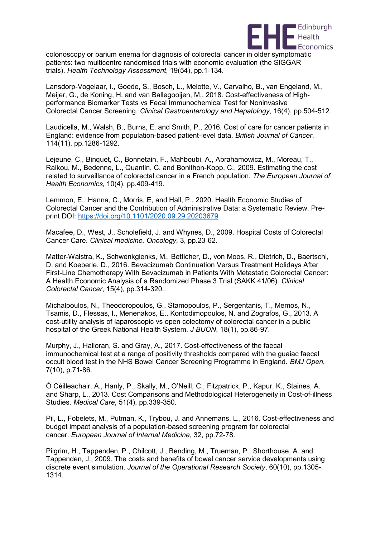

colonoscopy or barium enema for diagnosis of colorectal cancer in older symptomatic patients: two multicentre randomised trials with economic evaluation (the SIGGAR trials). *Health Technology Assessment*, 19(54), pp.1-134.

Lansdorp-Vogelaar, I., Goede, S., Bosch, L., Melotte, V., Carvalho, B., van Engeland, M., Meijer, G., de Koning, H. and van Ballegooijen, M., 2018. Cost-effectiveness of Highperformance Biomarker Tests vs Fecal Immunochemical Test for Noninvasive Colorectal Cancer Screening. *Clinical Gastroenterology and Hepatology*, 16(4), pp.504-512.

Laudicella, M., Walsh, B., Burns, E. and Smith, P., 2016. Cost of care for cancer patients in England: evidence from population-based patient-level data. *British Journal of Cancer*, 114(11), pp.1286-1292.

Lejeune, C., Binquet, C., Bonnetain, F., Mahboubi, A., Abrahamowicz, M., Moreau, T., Raikou, M., Bedenne, L., Quantin, C. and Bonithon-Kopp, C., 2009. Estimating the cost related to surveillance of colorectal cancer in a French population. *The European Journal of Health Economics*, 10(4), pp.409-419.

Lemmon, E., Hanna, C., Morris, E, and Hall, P., 2020. Health Economic Studies of Colorectal Cancer and the Contribution of Administrative Data: a Systematic Review. Preprint DOI:<https://doi.org/10.1101/2020.09.29.20203679>

Macafee, D., West, J., Scholefield, J. and Whynes, D., 2009. Hospital Costs of Colorectal Cancer Care. *Clinical medicine. Oncology*, 3, pp.23-62.

Matter-Walstra, K., Schwenkglenks, M., Betticher, D., von Moos, R., Dietrich, D., Baertschi, D. and Koeberle, D., 2016. Bevacizumab Continuation Versus Treatment Holidays After First-Line Chemotherapy With Bevacizumab in Patients With Metastatic Colorectal Cancer: A Health Economic Analysis of a Randomized Phase 3 Trial (SAKK 41/06). *Clinical Colorectal Cancer*, 15(4), pp.314-320..

Michalpoulos, N., Theodoropoulos, G., Stamopoulos, P., Sergentanis, T., Memos, N., Tsamis, D., Flessas, I., Menenakos, E., Kontodimopoulos, N. and Zografos, G., 2013. A cost-utility analysis of laparoscopic vs open colectomy of colorectal cancer in a public hospital of the Greek National Health System. *J BUON*, 18(1), pp.86-97.

Murphy, J., Halloran, S. and Gray, A., 2017. Cost-effectiveness of the faecal immunochemical test at a range of positivity thresholds compared with the guaiac faecal occult blood test in the NHS Bowel Cancer Screening Programme in England. *BMJ Open*, 7(10), p.71-86.

Ó Céilleachair, A., Hanly, P., Skally, M., O'Neill, C., Fitzpatrick, P., Kapur, K., Staines, A. and Sharp, L., 2013. Cost Comparisons and Methodological Heterogeneity in Cost-of-illness Studies. *Medical Care*, 51(4), pp.339-350.

Pil, L., Fobelets, M., Putman, K., Trybou, J. and Annemans, L., 2016. Cost-effectiveness and budget impact analysis of a population-based screening program for colorectal cancer. *European Journal of Internal Medicine*, 32, pp.72-78.

Pilgrim, H., Tappenden, P., Chilcott, J., Bending, M., Trueman, P., Shorthouse, A. and Tappenden, J., 2009. The costs and benefits of bowel cancer service developments using discrete event simulation. *Journal of the Operational Research Society*, 60(10), pp.1305- 1314.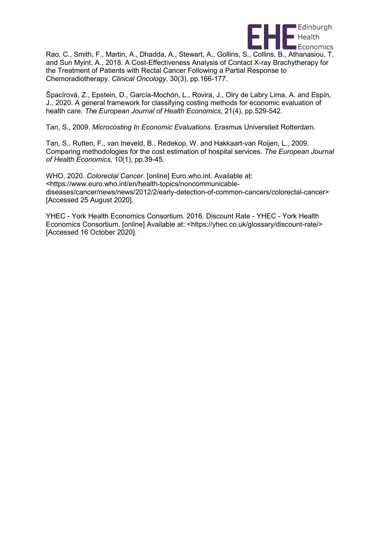

Rao, C., Smith, F., Martin, A., Dhadda, A., Stewart, A., Gollins, S., Collins, B., Athanasiou, T. and Sun Myint, A., 2018. A Cost-Effectiveness Analysis of Contact X-ray Brachytherapy for the Treatment of Patients with Rectal Cancer Following a Partial Response to Chemoradiotherapy. *Clinical Oncology*, 30(3), pp.166-177.

Špacírová, Z., Epstein, D., García-Mochón, L., Rovira, J., Olry de Labry Lima, A. and Espín, J., 2020. A general framework for classifying costing methods for economic evaluation of health care. *The European Journal of Health Economics*, 21(4), pp.529-542.

Tan, S., 2009. *Microcosting In Economic Evaluations*. Erasmus Universiteit Rotterdam.

Tan, S., Rutten, F., van Ineveld, B., Redekop, W. and Hakkaart-van Roijen, L., 2009. Comparing methodologies for the cost estimation of hospital services. *The European Journal of Health Economics*, 10(1), pp.39-45.

WHO, 2020. *Colorectal Cancer*. [online] Euro.who.int. Available at: <https://www.euro.who.int/en/health-topics/noncommunicablediseases/cancer/news/news/2012/2/early-detection-of-common-cancers/colorectal-cancer> [Accessed 25 August 2020].

YHEC - York Health Economics Consortium. 2016. Discount Rate - YHEC - York Health Economics Consortium. [online] Available at: <https://yhec.co.uk/glossary/discount-rate/> [Accessed 16 October 2020].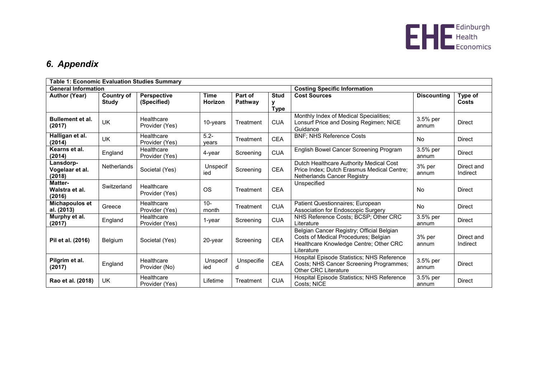

# *6. Appendix*

| Table 1: Economic Evaluation Studies Summary |                                   |                              |                        |                    |                                     |                                                                                                                                           |                    |                         |
|----------------------------------------------|-----------------------------------|------------------------------|------------------------|--------------------|-------------------------------------|-------------------------------------------------------------------------------------------------------------------------------------------|--------------------|-------------------------|
| <b>General Information</b>                   |                                   |                              |                        |                    | <b>Costing Specific Information</b> |                                                                                                                                           |                    |                         |
| <b>Author (Year)</b>                         | <b>Country of</b><br><b>Study</b> | Perspective<br>(Specified)   | <b>Time</b><br>Horizon | Part of<br>Pathway | <b>Stud</b><br>у<br><b>Type</b>     | <b>Cost Sources</b>                                                                                                                       | <b>Discounting</b> | Type of<br><b>Costs</b> |
| <b>Bullement et al.</b><br>(2017)            | UK                                | Healthcare<br>Provider (Yes) | 10-years               | Treatment          | <b>CUA</b>                          | Monthly Index of Medical Specialities;<br>Lonsurf Price and Dosing Regimen; NICE<br>Guidance                                              | 3.5% per<br>annum  | <b>Direct</b>           |
| Halligan et al.<br>(2014)                    | <b>UK</b>                         | Healthcare<br>Provider (Yes) | $5.2 -$<br>years       | Treatment          | <b>CEA</b>                          | <b>BNF; NHS Reference Costs</b>                                                                                                           | <b>No</b>          | <b>Direct</b>           |
| Kearns et al.<br>(2014)                      | England                           | Healthcare<br>Provider (Yes) | 4-year                 | Screening          | <b>CUA</b>                          | English Bowel Cancer Screening Program                                                                                                    | 3.5% per<br>annum  | <b>Direct</b>           |
| Lansdorp-<br>Vogelaar et al.<br>(2018)       | <b>Netherlands</b>                | Societal (Yes)               | Unspecif<br>ied        | Screening          | <b>CEA</b>                          | Dutch Healthcare Authority Medical Cost<br>Price Index; Dutch Erasmus Medical Centre;<br>Netherlands Cancer Registry                      | 3% per<br>annum    | Direct and<br>Indirect  |
| Matter-<br>Walstra et al.<br>(2016)          | Switzerland                       | Healthcare<br>Provider (Yes) | <b>OS</b>              | Treatment          | <b>CEA</b>                          | Unspecified                                                                                                                               | No                 | <b>Direct</b>           |
| Michapoulos et<br>al. (2013)                 | Greece                            | Healthcare<br>Provider (Yes) | $10-$<br>month         | Treatment          | <b>CUA</b>                          | Patient Questionnaires; European<br>Association for Endoscopic Surgery                                                                    | <b>No</b>          | <b>Direct</b>           |
| Murphy et al.<br>(2017)                      | England                           | Healthcare<br>Provider (Yes) | 1-year                 | Screening          | <b>CUA</b>                          | NHS Reference Costs; BCSP; Other CRC<br>Literature                                                                                        | 3.5% per<br>annum  | <b>Direct</b>           |
| Pil et al. (2016)                            | <b>Belgium</b>                    | Societal (Yes)               | 20-year                | Screening          | CEA                                 | Belgian Cancer Registry; Official Belgian<br>Costs of Medical Procedures; Belgian<br>Healthcare Knowledge Centre; Other CRC<br>Literature | 3% per<br>annum    | Direct and<br>Indirect  |
| Pilgrim et al.<br>(2017)                     | England                           | Healthcare<br>Provider (No)  | Unspecif<br>ied        | Unspecifie<br>d    | <b>CEA</b>                          | Hospital Episode Statistics; NHS Reference<br>Costs; NHS Cancer Screening Programmes;<br><b>Other CRC Literature</b>                      | 3.5% per<br>annum  | <b>Direct</b>           |
| Rao et al. (2018)                            | <b>UK</b>                         | Healthcare<br>Provider (Yes) | Lifetime               | Treatment          | <b>CUA</b>                          | Hospital Episode Statistics; NHS Reference<br>Costs; NICE                                                                                 | 3.5% per<br>annum  | <b>Direct</b>           |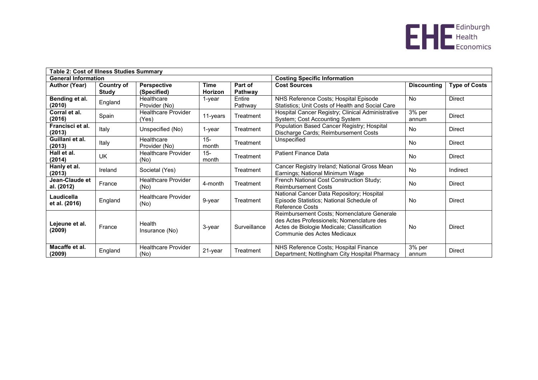

| Table 2: Cost of Illness Studies Summary |                   |                                     |                 |                                     |                                                                                                                                                                      |                    |                      |  |
|------------------------------------------|-------------------|-------------------------------------|-----------------|-------------------------------------|----------------------------------------------------------------------------------------------------------------------------------------------------------------------|--------------------|----------------------|--|
| <b>General Information</b>               |                   |                                     |                 | <b>Costing Specific Information</b> |                                                                                                                                                                      |                    |                      |  |
| <b>Author (Year)</b>                     | <b>Country of</b> | <b>Perspective</b>                  | Time            | Part of                             | <b>Cost Sources</b>                                                                                                                                                  | <b>Discounting</b> | <b>Type of Costs</b> |  |
|                                          | Study             | (Specified)                         | Horizon         | Pathway                             |                                                                                                                                                                      |                    |                      |  |
| Bending et al.<br>(2010)                 | England           | Healthcare<br>Provider (No)         | $1$ -year       | Entire<br>Pathway                   | NHS Reference Costs; Hospital Episode<br>Statistics; Unit Costs of Health and Social Care                                                                            | <b>No</b>          | <b>Direct</b>        |  |
| Corral et al.<br>(2016)                  | Spain             | <b>Healthcare Provider</b><br>(Yes) | 11-years        | Treatment                           | Hospital Cancer Registry; Clinical Administrative<br>System; Cost Accounting System                                                                                  | 3% per<br>annum    | <b>Direct</b>        |  |
| Francisci et al.<br>(2013)               | Italy             | Unspecified (No)                    | $1$ -year       | Treatment                           | Population Based Cancer Registry; Hospital<br>Discharge Cards; Reimbursement Costs                                                                                   | No                 | <b>Direct</b>        |  |
| Guillani et al.<br>(2013)                | Italy             | Healthcare<br>Provider (No)         | $15 -$<br>month | Treatment                           | Unspecified                                                                                                                                                          | No                 | <b>Direct</b>        |  |
| Hall et al.<br>(2014)                    | <b>UK</b>         | <b>Healthcare Provider</b><br>(No)  | $15 -$<br>month | Treatment                           | <b>Patient Finance Data</b>                                                                                                                                          | No                 | <b>Direct</b>        |  |
| Hanly et al.<br>(2013)                   | Ireland           | Societal (Yes)                      |                 | Treatment                           | Cancer Registry Ireland; National Gross Mean<br>Earnings; National Minimum Wage                                                                                      | No                 | Indirect             |  |
| Jean-Claude et<br>al. (2012)             | France            | <b>Healthcare Provider</b><br>(No)  | 4-month         | Treatment                           | French National Cost Construction Study;<br><b>Reimbursement Costs</b>                                                                                               | <b>No</b>          | <b>Direct</b>        |  |
| Laudicella<br>et al. (2016)              | England           | <b>Healthcare Provider</b><br>(No)  | 9-year          | Treatment                           | National Cancer Data Repository; Hospital<br>Episode Statistics; National Schedule of<br><b>Reference Costs</b>                                                      | <b>No</b>          | <b>Direct</b>        |  |
| Lejeune et al.<br>(2009)                 | France            | Health<br>Insurance (No)            | 3-year          | Surveillance                        | Reimbursement Costs; Nomenclature Generale<br>des Actes Professionels; Nomenclature des<br>Actes de Biologie Medicale; Classification<br>Communie des Actes Medicaux | No                 | Direct               |  |
| Macaffe et al.<br>(2009)                 | England           | <b>Healthcare Provider</b><br>(No)  | 21-year         | Treatment                           | NHS Reference Costs; Hospital Finance<br>Department; Nottingham City Hospital Pharmacy                                                                               | 3% per<br>annum    | <b>Direct</b>        |  |